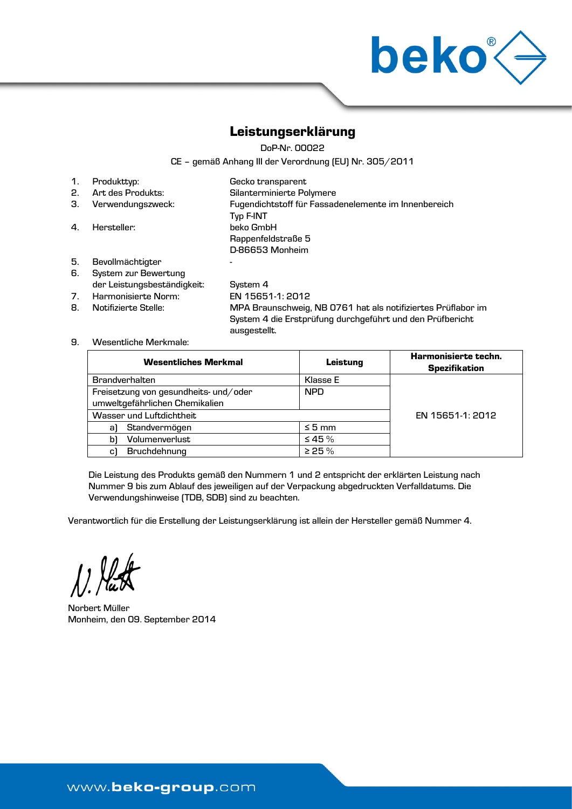

## Leistungserklärung

DoP-Nr. 00022

CE – gemäß Anhang III der Verordnung (EU) Nr. 305/2011

| 1. | Produkttyp:       | Gecko transparent                                    |
|----|-------------------|------------------------------------------------------|
| 2. | Art des Produkts: | Silanterminierte Polymere                            |
| З. | Verwendungszweck: | Fugendichtstoff für Fassadenelemente im Innenbereich |
|    |                   | Typ F-INT                                            |
| 4. | Hersteller:       | beko GmbH                                            |
|    |                   | Rappenfeldstraße 5                                   |
|    |                   | D-86653 Monheim                                      |
| 5. | Bevollmächtigter  |                                                      |

6. System zur Bewertung der Leistungsbeständigkeit: System 4

7. Harmonisierte Norm: EN 15651-1: 2012 8. Notifizierte Stelle: MPA Braunschweig, NB 0761 hat als notifiziertes Prüflabor im System 4 die Erstprüfung durchgeführt und den Prüfbericht ausgestellt.

#### 9. Wesentliche Merkmale:

| <b>Wesentliches Merkmal</b>           | Leistung     | Harmonisierte techn.<br><b>Spezifikation</b> |
|---------------------------------------|--------------|----------------------------------------------|
| <b>Brandverhalten</b>                 | Klasse E     |                                              |
| Freisetzung von gesundheits- und/oder | <b>NPD</b>   |                                              |
| umweltgefährlichen Chemikalien        |              |                                              |
| Wasser und Luftdichtheit              |              | EN 15651-1: 2012                             |
| Standvermögen<br>al                   | $\leq$ 5 mm  |                                              |
| Volumenverlust<br>bì                  | $\leq 45 \%$ |                                              |
| Bruchdehnung<br>c)                    | > 25%        |                                              |

Die Leistung des Produkts gemäß den Nummern 1 und 2 entspricht der erklärten Leistung nach Nummer 9 bis zum Ablauf des jeweiligen auf der Verpackung abgedruckten Verfalldatums. Die Verwendungshinweise (TDB, SDB) sind zu beachten.

Verantwortlich für die Erstellung der Leistungserklärung ist allein der Hersteller gemäß Nummer 4.

 $\sqrt{2}$ 

Norbert Müller Monheim, den 09. September 2014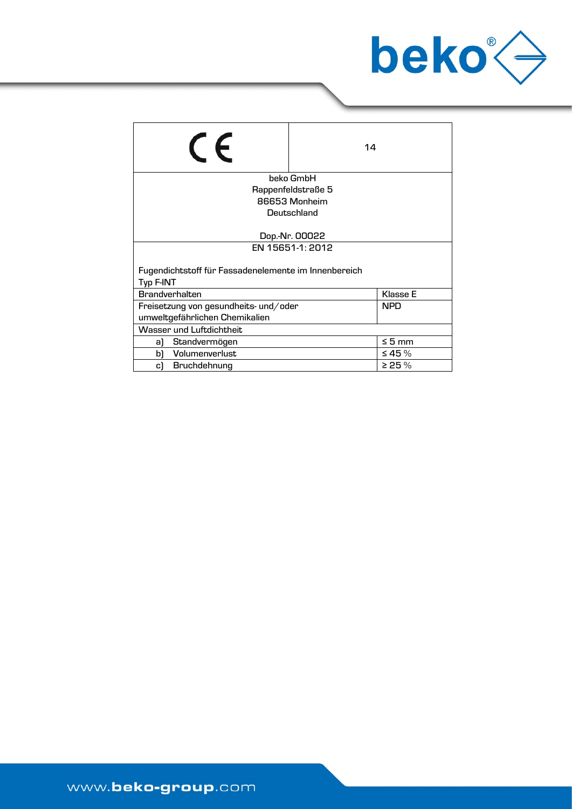

| $\epsilon$                                           | 14                 |              |  |
|------------------------------------------------------|--------------------|--------------|--|
|                                                      | beko GmbH          |              |  |
|                                                      | Rappenfeldstraße 5 |              |  |
|                                                      | 86653 Monheim      |              |  |
|                                                      | Deutschland        |              |  |
|                                                      |                    |              |  |
| Dop.-Nr. 00022                                       |                    |              |  |
| EN 15651-1: 2012                                     |                    |              |  |
|                                                      |                    |              |  |
| Fugendichtstoff für Fassadenelemente im Innenbereich |                    |              |  |
| Typ F-INT                                            |                    |              |  |
| <b>Brandverhalten</b>                                |                    | Klasse E     |  |
| Freisetzung von gesundheits- und/oder                |                    | <b>NPD</b>   |  |
| umweltgefährlichen Chemikalien                       |                    |              |  |
| Wasser und Luftdichtheit                             |                    |              |  |
| Standvermögen<br>a)                                  |                    | $\leq 5$ mm  |  |
| Volumenverlust<br>b١                                 |                    | $\leq 45 \%$ |  |
| Bruchdehnung<br>c)                                   |                    | > 25%        |  |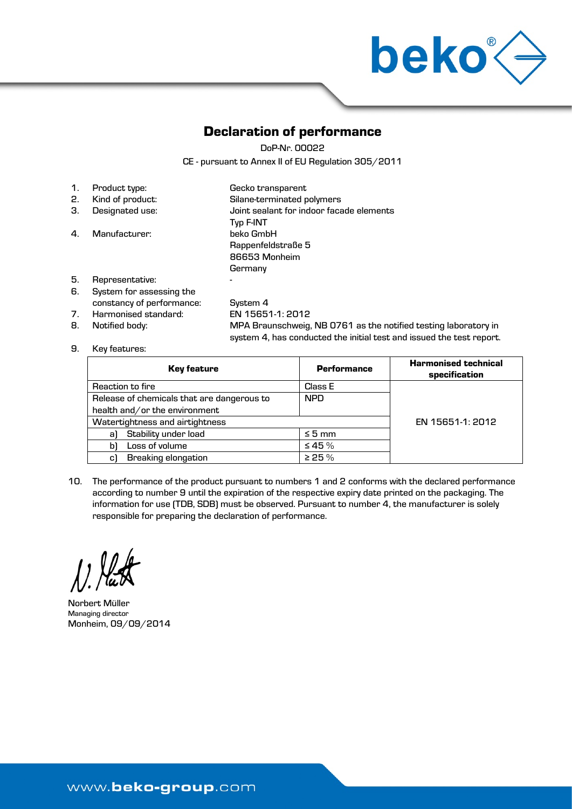

## Declaration of performance

DoP-Nr. 00022

CE - pursuant to Annex II of EU Regulation 305/2011

| $\mathbf{1}$ . | Product type:             | Gecko transparent                        |
|----------------|---------------------------|------------------------------------------|
| 2.             | Kind of product:          | Silane-terminated polymers               |
| З.             | Designated use:           | Joint sealant for indoor facade elements |
|                |                           | Typ F-INT                                |
| 4.             | Manufacturer:             | beko GmbH                                |
|                |                           | Rappenfeldstraße 5                       |
|                |                           | 86653 Monheim                            |
|                |                           | Germany                                  |
| 5.             | Representative:           | -                                        |
| 6.             | System for assessing the  |                                          |
|                | constancy of performance: | System 4                                 |

7. Harmonised standard: EN 15651-1: 2012 8. Notified body: MPA Braunschweig, NB 0761 as the notified testing laboratory in system 4, has conducted the initial test and issued the test report.

### 9. Key features:

| <b>Key feature</b>                         | <b>Performance</b> | <b>Harmonised technical</b><br>specification |
|--------------------------------------------|--------------------|----------------------------------------------|
| Reaction to fire                           | Class E            |                                              |
| Release of chemicals that are dangerous to | <b>NPD</b>         |                                              |
| health and/or the environment              |                    |                                              |
| Watertightness and airtightness            |                    | EN 15651-1: 2012                             |
| Stability under load<br>al                 | $\leq 5$ mm        |                                              |
| Loss of volume<br>bì                       | $\leq 45\%$        |                                              |
| <b>Breaking elongation</b><br>C)           | > 25%              |                                              |

10. The performance of the product pursuant to numbers 1 and 2 conforms with the declared performance according to number 9 until the expiration of the respective expiry date printed on the packaging. The information for use (TDB, SDB) must be observed. Pursuant to number 4, the manufacturer is solely responsible for preparing the declaration of performance.

Norbert Müller Managing director Monheim, 09/09/2014

www.beko-group.com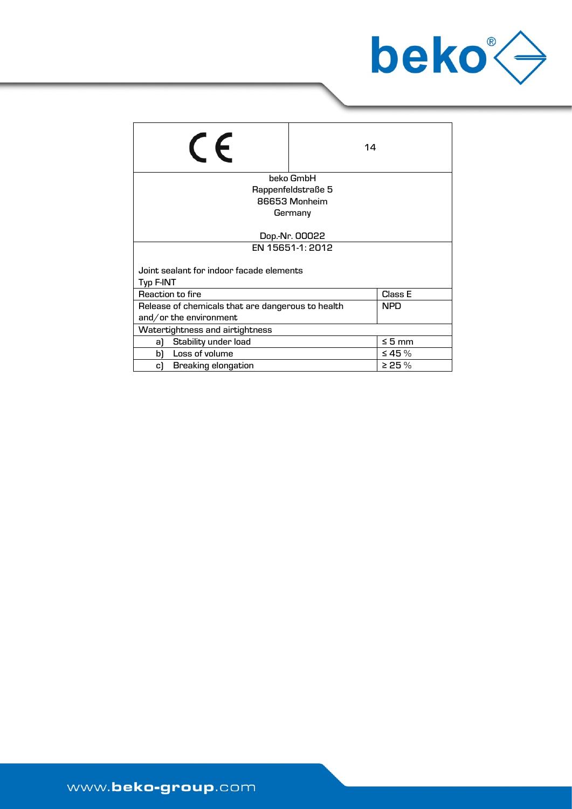

| $\epsilon$                                                      | 14                 |              |  |
|-----------------------------------------------------------------|--------------------|--------------|--|
|                                                                 | beko GmbH          |              |  |
|                                                                 | Rappenfeldstraße 5 |              |  |
|                                                                 | 86653 Monheim      |              |  |
|                                                                 | Germany            |              |  |
|                                                                 |                    |              |  |
| Dop.-Nr. 00022                                                  |                    |              |  |
| EN 15651-1: 2012                                                |                    |              |  |
|                                                                 |                    |              |  |
| Joint sealant for indoor facade elements                        |                    |              |  |
| Typ F-INT                                                       |                    |              |  |
| Class E<br>Reaction to fire                                     |                    |              |  |
| <b>NPD</b><br>Release of chemicals that are dangerous to health |                    |              |  |
| and/or the environment                                          |                    |              |  |
| Watertightness and airtightness                                 |                    |              |  |
| Stability under load<br>a)                                      |                    | $\leq 5$ mm  |  |
| Loss of volume<br>bì                                            |                    | $\leq 45 \%$ |  |
| <b>Breaking elongation</b><br>c)                                |                    | $>$ 25 $\%$  |  |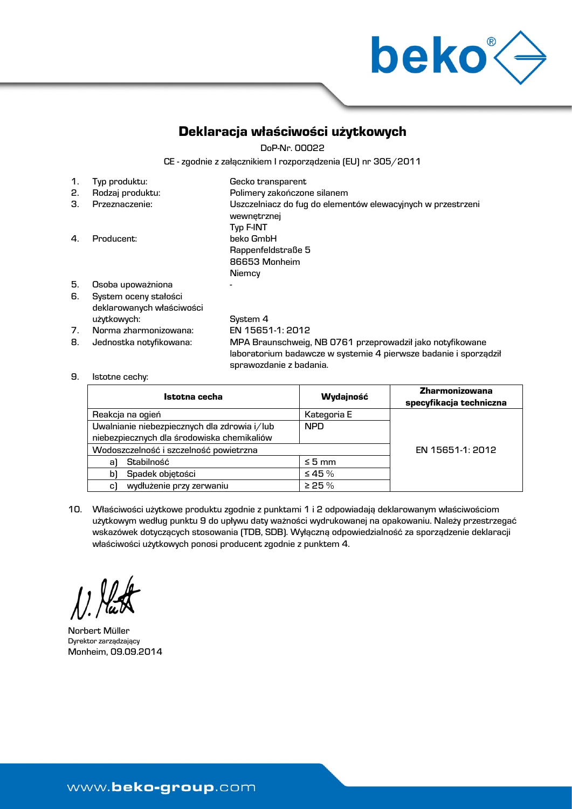

## Deklaracja właściwości użytkowych

DoP-Nr. 00022

CE - zgodnie z załącznikiem I rozporządzenia (EU) nr 305/2011

| 1.             | Typ produktu:             | Gecko transparent                                                          |
|----------------|---------------------------|----------------------------------------------------------------------------|
| 2.             | Rodzaj produktu:          | Polimery zakończone silanem                                                |
| З.             | Przeznaczenie:            | Uszczelniacz do fug do elementów elewacyjnych w przestrzeni<br>wewnetrznej |
|                |                           | <b>Typ F-INT</b>                                                           |
| 4.             | Producent:                | beko GmbH                                                                  |
|                |                           | Rappenfeldstraße 5                                                         |
|                |                           | 86653 Monheim                                                              |
|                |                           | Niemcy                                                                     |
| 5.             | Osoba upoważniona         |                                                                            |
| 6.             | System oceny stałości     |                                                                            |
|                | deklarowanych właściwości |                                                                            |
|                | użytkowych:               | System 4                                                                   |
| 7 <sub>1</sub> | Norma zharmonizowana:     | EN 15651-1: 2012                                                           |
| 8.             | Jednostka notyfikowana:   | MPA Braunschweig, NB 0761 przeprowadził jako notyfikowane                  |
|                |                           | laboratorium badawcze w systemie 4 pierwsze badanie i sporządził           |

sprawozdanie z badania.

9. Istotne cechy:

| Istotna cecha                                | Wydajność   | <b>Zharmonizowana</b><br>specyfikacja techniczna |
|----------------------------------------------|-------------|--------------------------------------------------|
| Reakcja na ogień                             | Kategoria E |                                                  |
| Uwalnianie niebezpiecznych dla zdrowia i/lub | <b>NPD</b>  |                                                  |
| niebezpiecznych dla środowiska chemikaliów   |             |                                                  |
| Wodoszczelność i szczelność powietrzna       |             | EN 15651-1: 2012                                 |
| Stabilność<br>al                             | $\leq 5$ mm |                                                  |
| Spadek objętości<br>bì                       | $\leq 45\%$ |                                                  |
| wydłużenie przy zerwaniu<br>c1               | > 25%       |                                                  |

10. Właściwości użytkowe produktu zgodnie z punktami 1 i 2 odpowiadają deklarowanym właściwościom użytkowym według punktu 9 do upływu daty ważności wydrukowanej na opakowaniu. Należy przestrzegać wskazówek dotyczących stosowania (TDB, SDB). Wyłączną odpowiedzialność za sporządzenie deklaracji właściwości użytkowych ponosi producent zgodnie z punktem 4.

 $\left( \right)$   $\left( \right)$ 

Norbert Müller Dyrektor zarządzający Monheim, 09.09.2014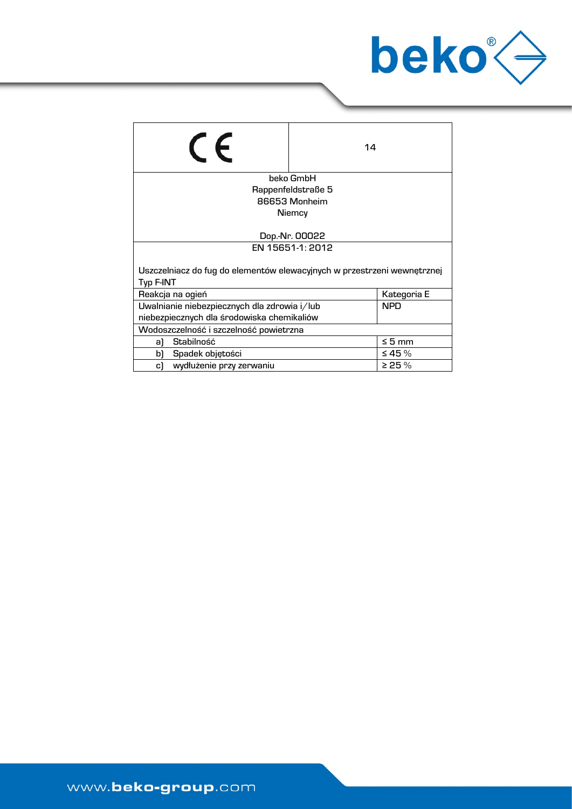

| $\epsilon$                                                                           | 14                 |              |  |
|--------------------------------------------------------------------------------------|--------------------|--------------|--|
|                                                                                      | beko GmbH          |              |  |
|                                                                                      | Rappenfeldstraße 5 |              |  |
|                                                                                      | 86653 Monheim      |              |  |
|                                                                                      | Niemcy             |              |  |
| Dop.-Nr. 00022                                                                       |                    |              |  |
| EN 15651-1: 2012                                                                     |                    |              |  |
| Uszczelniacz do fug do elementów elewacyjnych w przestrzeni wewnętrznej<br>Typ F-INT |                    |              |  |
| Reakcja na ogień                                                                     |                    | Kategoria E  |  |
| Uwalnianie niebezpiecznych dla zdrowia i/lub                                         |                    | <b>NPD</b>   |  |
| niebezpiecznych dla środowiska chemikaliów                                           |                    |              |  |
| Wodoszczelność i szczelność powietrzna                                               |                    |              |  |
| Stabilność<br>a)                                                                     |                    | $\leq 5$ mm  |  |
| Spadek objętości<br>bì                                                               |                    | $\leq 45 \%$ |  |
| wydłużenie przy zerwaniu<br>c)                                                       |                    | $>$ 25 $\%$  |  |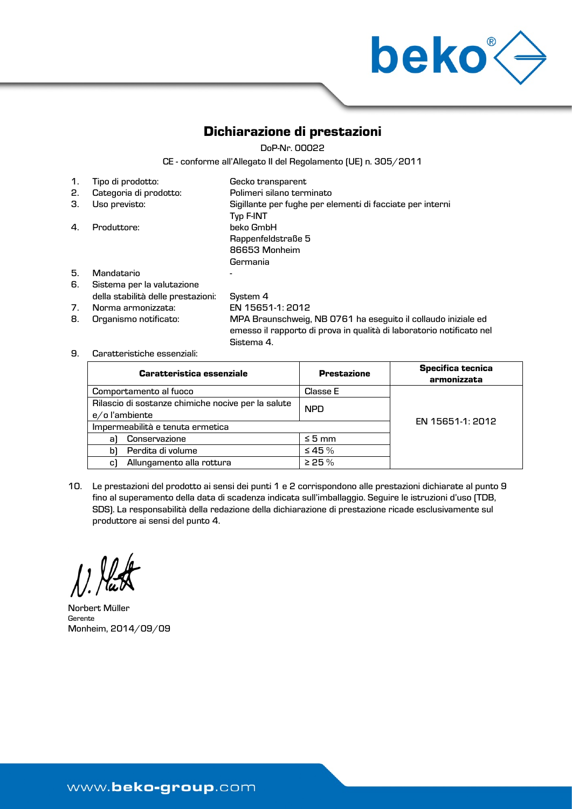

# Dichiarazione di prestazioni

DoP-Nr. 00022

CE - conforme all'Allegato II del Regolamento (UE) n. 305/2011

| 1. | Tipo di prodotto:                  | Gecko transparent                                                      |
|----|------------------------------------|------------------------------------------------------------------------|
| 2. | Categoria di prodotto:             | Polimeri silano terminato                                              |
| З. | Uso previsto:                      | Sigillante per fughe per elementi di facciate per interni<br>Typ F-INT |
| 4. | Produttore:                        | beko GmbH                                                              |
|    |                                    | Rappenfeldstraße 5                                                     |
|    |                                    | 86653 Monheim                                                          |
|    |                                    | Germania                                                               |
| 5. | Mandatario                         |                                                                        |
| 6. | Sistema per la valutazione         |                                                                        |
|    | della stabilità delle prestazioni: | System 4                                                               |

- 7. Norma armonizzata: EN 15651-1: 2012
- 

8. Organismo notificato: MPA Braunschweig, NB 0761 ha eseguito il collaudo iniziale ed emesso il rapporto di prova in qualità di laboratorio notificato nel Sistema 4.

9. Caratteristiche essenziali:

| <b>Caratteristica essenziale</b>                                    | <b>Prestazione</b> | <b>Specifica tecnica</b><br>armonizzata |
|---------------------------------------------------------------------|--------------------|-----------------------------------------|
| Comportamento al fuoco                                              | <b>Classe E</b>    |                                         |
| Rilascio di sostanze chimiche nocive per la salute<br>e/ol'ambiente | <b>NPD</b>         |                                         |
| Impermeabilità e tenuta ermetica                                    |                    | EN 15651-1: 2012                        |
| Conservazione<br>al                                                 | $\leq 5$ mm        |                                         |
| Perdita di volume<br>bì                                             | $\leq 45 \%$       |                                         |
| Allungamento alla rottura<br>c)                                     | $\geq$ 25 %        |                                         |

10. Le prestazioni del prodotto ai sensi dei punti 1 e 2 corrispondono alle prestazioni dichiarate al punto 9 fino al superamento della data di scadenza indicata sull'imballaggio. Seguire le istruzioni d'uso (TDB, SDS). La responsabilità della redazione della dichiarazione di prestazione ricade esclusivamente sul produttore ai sensi del punto 4.

Norbert Müller Gerente Monheim, 2014/09/09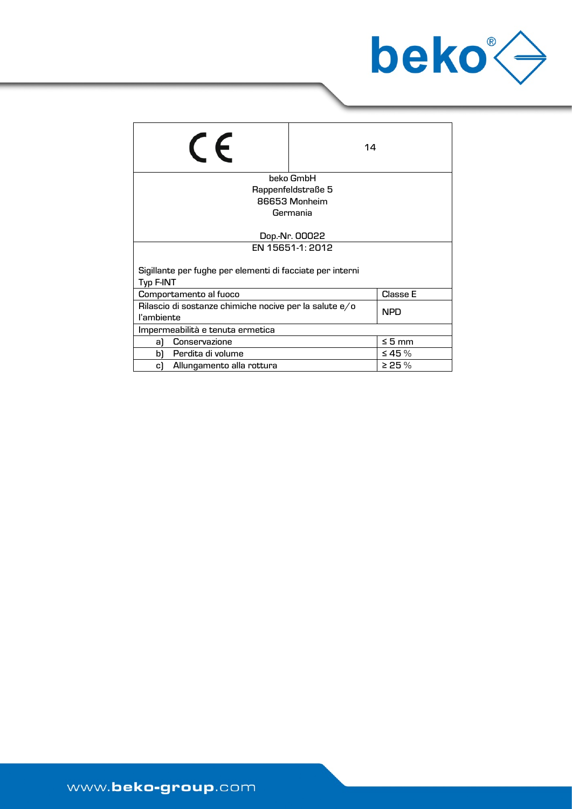

| $\epsilon$                                                                         | 14                 |              |  |
|------------------------------------------------------------------------------------|--------------------|--------------|--|
|                                                                                    | beko GmbH          |              |  |
|                                                                                    | Rappenfeldstraße 5 |              |  |
|                                                                                    | 86653 Monheim      |              |  |
|                                                                                    | Germania           |              |  |
| Dop.-Nr. 00022                                                                     |                    |              |  |
| EN 15651-1: 2012                                                                   |                    |              |  |
| Sigillante per fughe per elementi di facciate per interni<br>Typ F-INT             |                    |              |  |
| Comportamento al fuoco                                                             | Classe E           |              |  |
| Rilascio di sostanze chimiche nocive per la salute e/o<br><b>NPD</b><br>l'ambiente |                    |              |  |
| Impermeabilità e tenuta ermetica                                                   |                    |              |  |
| Conservazione<br>al                                                                |                    | $\leq 5$ mm  |  |
| Perdita di volume<br>bì                                                            |                    | $\leq 45 \%$ |  |
| Allungamento alla rottura<br>c)                                                    |                    | $>$ 25 $\%$  |  |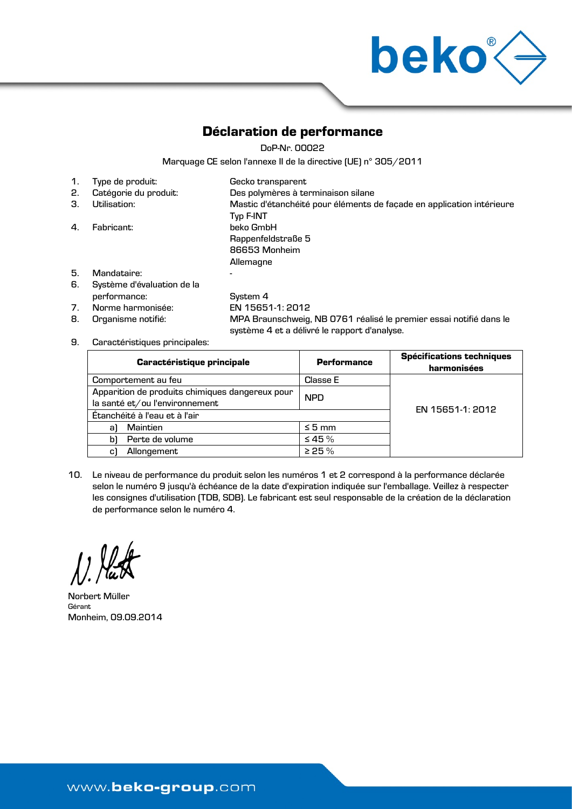

## Déclaration de performance

DoP-Nr. 00022

Marquage CE selon l'annexe II de la directive (UE) n° 305/2011

| 1. | Type de produit:           | Gecko transparent                                                     |
|----|----------------------------|-----------------------------------------------------------------------|
| 2. | Catégorie du produit:      | Des polymères à terminaison silane                                    |
| З. | Utilisation:               | Mastic d'étanchéité pour éléments de façade en application intérieure |
|    |                            | <b>Typ F-INT</b>                                                      |
| 4. | Fabricant:                 | beko GmbH                                                             |
|    |                            | Rappenfeldstraße 5                                                    |
|    |                            | 86653 Monheim                                                         |
|    |                            | Allemagne                                                             |
| 5. | Mandataire:                |                                                                       |
| 6. | Système d'évaluation de la |                                                                       |
|    | performance:               | System 4                                                              |
| 7. | Norme harmonisée:          | EN 15651-1: 2012                                                      |
| 8. | Organisme notifié:         | MPA Braunschweig, NB 0761 réalisé le premier essai notifié dans le    |

9. Caractéristiques principales:

| <b>Caractéristique principale</b>                                                 | <b>Performance</b> | <b>Spécifications techniques</b><br>harmonisées |
|-----------------------------------------------------------------------------------|--------------------|-------------------------------------------------|
| Comportement au feu                                                               | Classe E           |                                                 |
| Apparition de produits chimiques dangereux pour<br>la santé et/ou l'environnement | <b>NPD</b>         |                                                 |
| Étanchéité à l'eau et à l'air                                                     | EN 15651-1: 2012   |                                                 |
| Maintien<br>al                                                                    | $\leq 5$ mm        |                                                 |
| Perte de volume<br>bì                                                             | $\leq 45 \%$       |                                                 |
| Allongement<br>c)                                                                 | > 25%              |                                                 |

système 4 et a délivré le rapport d'analyse.

10. Le niveau de performance du produit selon les numéros 1 et 2 correspond à la performance déclarée selon le numéro 9 jusqu'à échéance de la date d'expiration indiquée sur l'emballage. Veillez à respecter les consignes d'utilisation (TDB, SDB). Le fabricant est seul responsable de la création de la déclaration de performance selon le numéro 4.

Norbert Müller Gérant Monheim, 09.09.2014